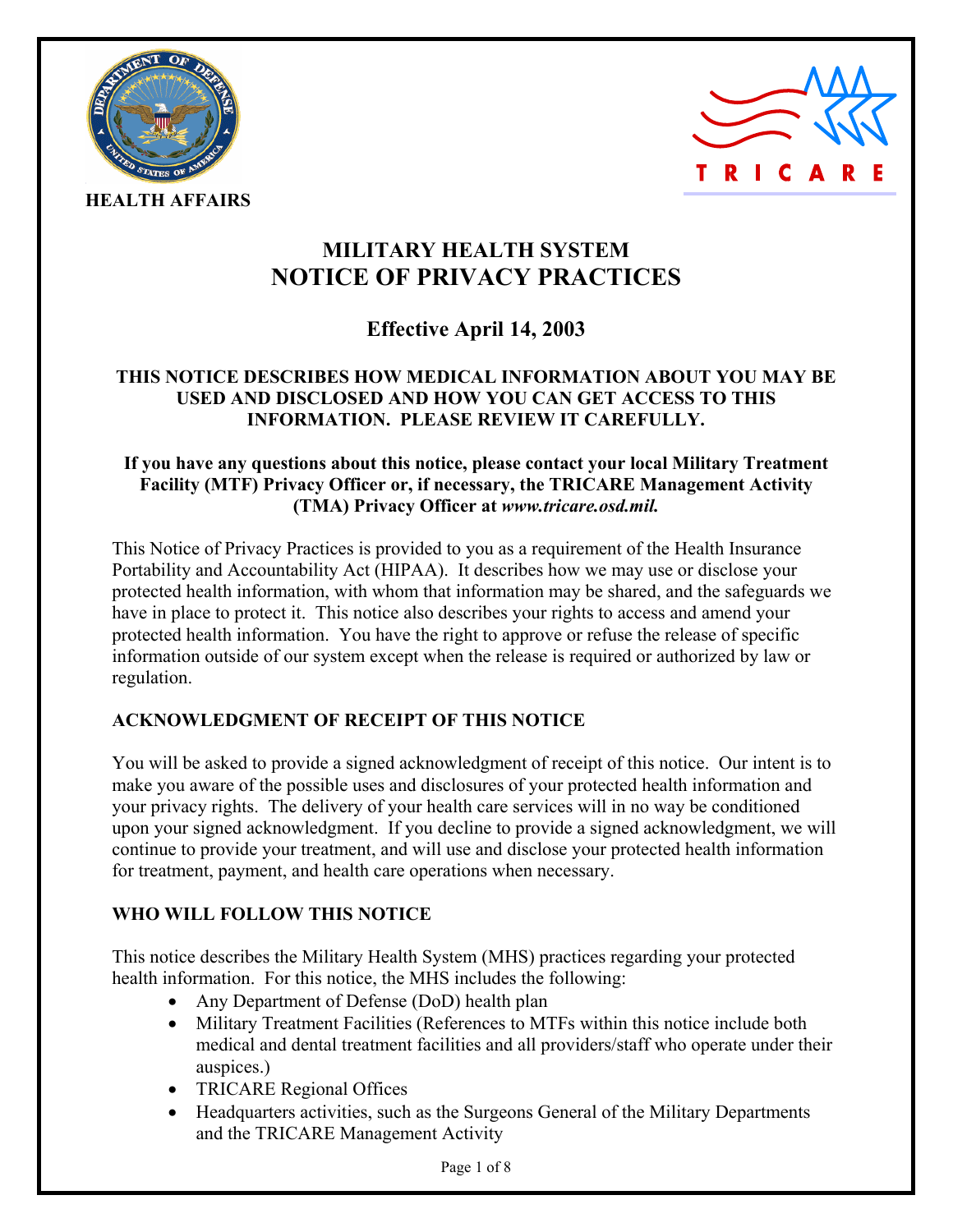



**HEALTH AFFAIRS** 

# **MILITARY HEALTH SYSTEM NOTICE OF PRIVACY PRACTICES**

## **Effective April 14, 2003**

## **THIS NOTICE DESCRIBES HOW MEDICAL INFORMATION ABOUT YOU MAY BE USED AND DISCLOSED AND HOW YOU CAN GET ACCESS TO THIS INFORMATION. PLEASE REVIEW IT CAREFULLY.**

## **If you have any questions about this notice, please contact your local Military Treatment Facility (MTF) Privacy Officer or, if necessary, the TRICARE Management Activity (TMA) Privacy Officer at** *www.tricare.osd.mil.*

This Notice of Privacy Practices is provided to you as a requirement of the Health Insurance Portability and Accountability Act (HIPAA). It describes how we may use or disclose your protected health information, with whom that information may be shared, and the safeguards we have in place to protect it. This notice also describes your rights to access and amend your protected health information. You have the right to approve or refuse the release of specific information outside of our system except when the release is required or authorized by law or regulation.

## **ACKNOWLEDGMENT OF RECEIPT OF THIS NOTICE**

You will be asked to provide a signed acknowledgment of receipt of this notice. Our intent is to make you aware of the possible uses and disclosures of your protected health information and your privacy rights. The delivery of your health care services will in no way be conditioned upon your signed acknowledgment. If you decline to provide a signed acknowledgment, we will continue to provide your treatment, and will use and disclose your protected health information for treatment, payment, and health care operations when necessary.

## **WHO WILL FOLLOW THIS NOTICE**

This notice describes the Military Health System (MHS) practices regarding your protected health information. For this notice, the MHS includes the following:

- Any Department of Defense (DoD) health plan
- Military Treatment Facilities (References to MTFs within this notice include both medical and dental treatment facilities and all providers/staff who operate under their auspices.)
- TRICARE Regional Offices
- Headquarters activities, such as the Surgeons General of the Military Departments and the TRICARE Management Activity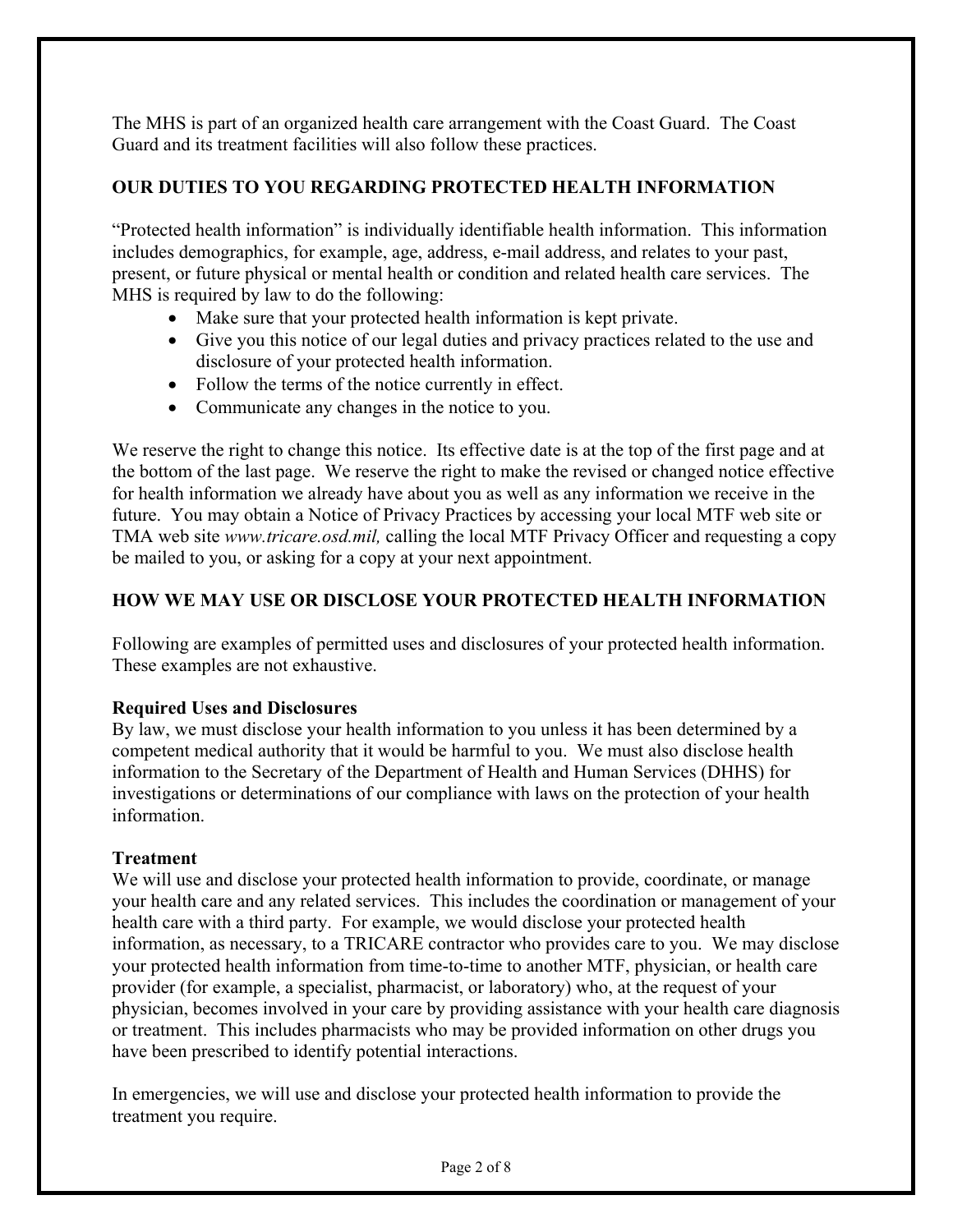The MHS is part of an organized health care arrangement with the Coast Guard. The Coast Guard and its treatment facilities will also follow these practices.

## **OUR DUTIES TO YOU REGARDING PROTECTED HEALTH INFORMATION**

"Protected health information" is individually identifiable health information. This information includes demographics, for example, age, address, e-mail address, and relates to your past, present, or future physical or mental health or condition and related health care services. The MHS is required by law to do the following:

- Make sure that your protected health information is kept private.
- Give you this notice of our legal duties and privacy practices related to the use and disclosure of your protected health information.
- Follow the terms of the notice currently in effect.
- Communicate any changes in the notice to you.

We reserve the right to change this notice. Its effective date is at the top of the first page and at the bottom of the last page. We reserve the right to make the revised or changed notice effective for health information we already have about you as well as any information we receive in the future. You may obtain a Notice of Privacy Practices by accessing your local MTF web site or TMA web site *www.tricare.osd.mil,* calling the local MTF Privacy Officer and requesting a copy be mailed to you, or asking for a copy at your next appointment.

## **HOW WE MAY USE OR DISCLOSE YOUR PROTECTED HEALTH INFORMATION**

Following are examples of permitted uses and disclosures of your protected health information. These examples are not exhaustive.

## **Required Uses and Disclosures**

By law, we must disclose your health information to you unless it has been determined by a competent medical authority that it would be harmful to you. We must also disclose health information to the Secretary of the Department of Health and Human Services (DHHS) for investigations or determinations of our compliance with laws on the protection of your health information.

#### **Treatment**

We will use and disclose your protected health information to provide, coordinate, or manage your health care and any related services. This includes the coordination or management of your health care with a third party. For example, we would disclose your protected health information, as necessary, to a TRICARE contractor who provides care to you. We may disclose your protected health information from time-to-time to another MTF, physician, or health care provider (for example, a specialist, pharmacist, or laboratory) who, at the request of your physician, becomes involved in your care by providing assistance with your health care diagnosis or treatment. This includes pharmacists who may be provided information on other drugs you have been prescribed to identify potential interactions.

In emergencies, we will use and disclose your protected health information to provide the treatment you require.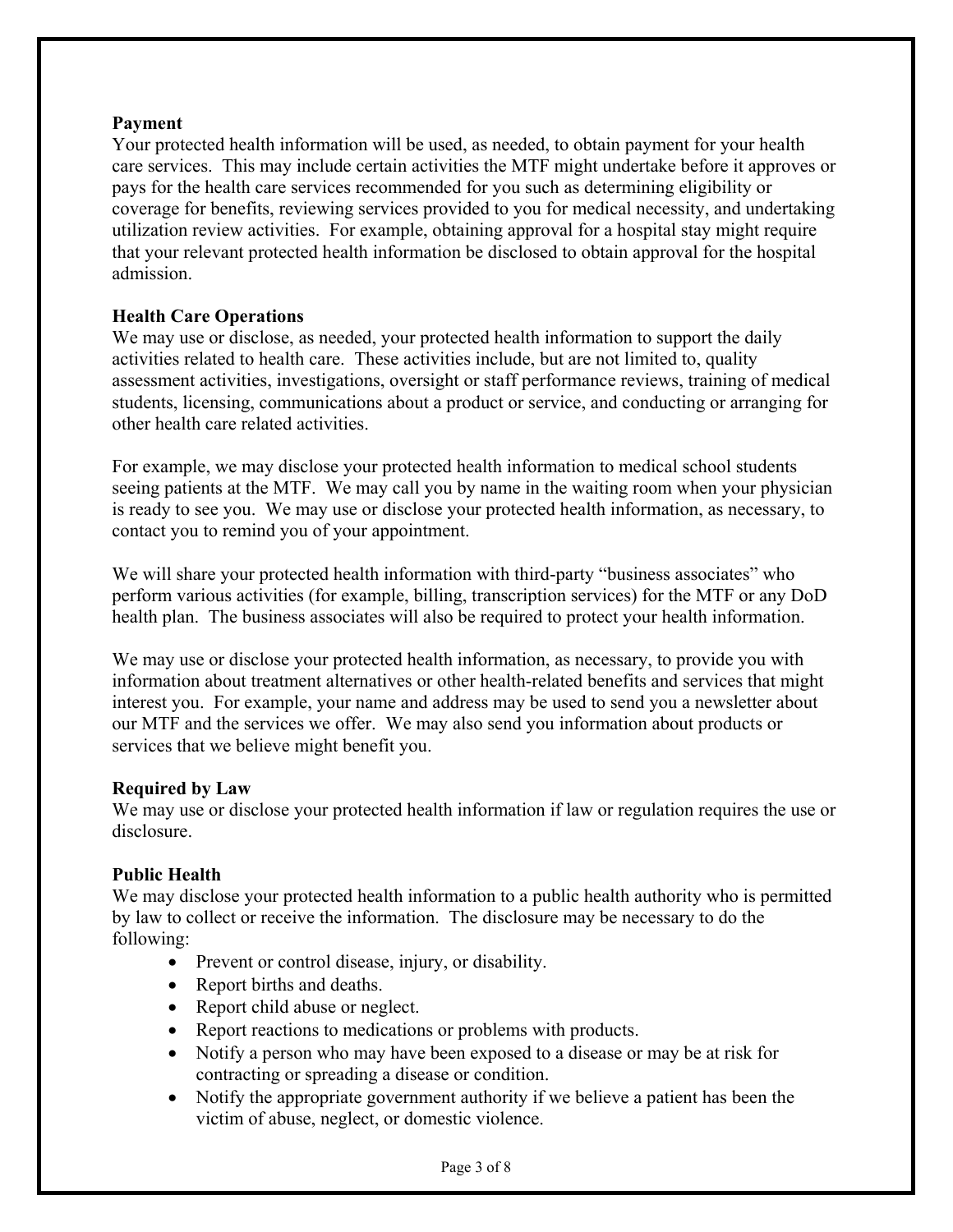#### **Payment**

Your protected health information will be used, as needed, to obtain payment for your health care services. This may include certain activities the MTF might undertake before it approves or pays for the health care services recommended for you such as determining eligibility or coverage for benefits, reviewing services provided to you for medical necessity, and undertaking utilization review activities. For example, obtaining approval for a hospital stay might require that your relevant protected health information be disclosed to obtain approval for the hospital admission.

## **Health Care Operations**

We may use or disclose, as needed, your protected health information to support the daily activities related to health care. These activities include, but are not limited to, quality assessment activities, investigations, oversight or staff performance reviews, training of medical students, licensing, communications about a product or service, and conducting or arranging for other health care related activities.

For example, we may disclose your protected health information to medical school students seeing patients at the MTF. We may call you by name in the waiting room when your physician is ready to see you. We may use or disclose your protected health information, as necessary, to contact you to remind you of your appointment.

We will share your protected health information with third-party "business associates" who perform various activities (for example, billing, transcription services) for the MTF or any DoD health plan. The business associates will also be required to protect your health information.

We may use or disclose your protected health information, as necessary, to provide you with information about treatment alternatives or other health-related benefits and services that might interest you. For example, your name and address may be used to send you a newsletter about our MTF and the services we offer. We may also send you information about products or services that we believe might benefit you.

#### **Required by Law**

We may use or disclose your protected health information if law or regulation requires the use or disclosure.

#### **Public Health**

We may disclose your protected health information to a public health authority who is permitted by law to collect or receive the information. The disclosure may be necessary to do the following:

- Prevent or control disease, injury, or disability.
- Report births and deaths.
- Report child abuse or neglect.
- Report reactions to medications or problems with products.
- Notify a person who may have been exposed to a disease or may be at risk for contracting or spreading a disease or condition.
- Notify the appropriate government authority if we believe a patient has been the victim of abuse, neglect, or domestic violence.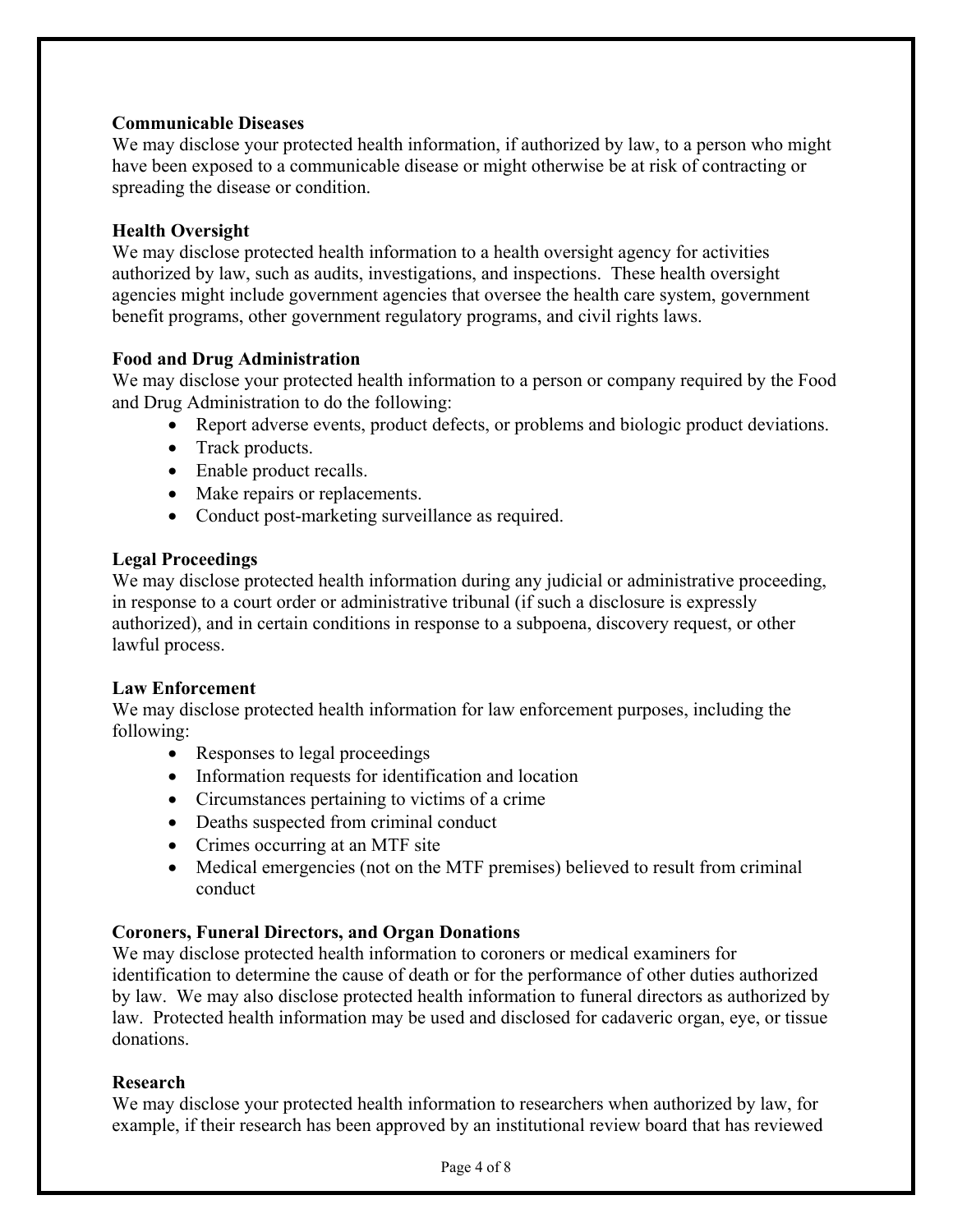#### **Communicable Diseases**

We may disclose your protected health information, if authorized by law, to a person who might have been exposed to a communicable disease or might otherwise be at risk of contracting or spreading the disease or condition.

#### **Health Oversight**

We may disclose protected health information to a health oversight agency for activities authorized by law, such as audits, investigations, and inspections. These health oversight agencies might include government agencies that oversee the health care system, government benefit programs, other government regulatory programs, and civil rights laws.

#### **Food and Drug Administration**

We may disclose your protected health information to a person or company required by the Food and Drug Administration to do the following:

- Report adverse events, product defects, or problems and biologic product deviations.
- Track products.
- Enable product recalls.
- Make repairs or replacements.
- Conduct post-marketing surveillance as required.

#### **Legal Proceedings**

We may disclose protected health information during any judicial or administrative proceeding, in response to a court order or administrative tribunal (if such a disclosure is expressly authorized), and in certain conditions in response to a subpoena, discovery request, or other lawful process.

#### **Law Enforcement**

We may disclose protected health information for law enforcement purposes, including the following:

- Responses to legal proceedings
- Information requests for identification and location
- Circumstances pertaining to victims of a crime
- Deaths suspected from criminal conduct
- Crimes occurring at an MTF site
- Medical emergencies (not on the MTF premises) believed to result from criminal conduct

## **Coroners, Funeral Directors, and Organ Donations**

We may disclose protected health information to coroners or medical examiners for identification to determine the cause of death or for the performance of other duties authorized by law. We may also disclose protected health information to funeral directors as authorized by law. Protected health information may be used and disclosed for cadaveric organ, eye, or tissue donations.

#### **Research**

We may disclose your protected health information to researchers when authorized by law, for example, if their research has been approved by an institutional review board that has reviewed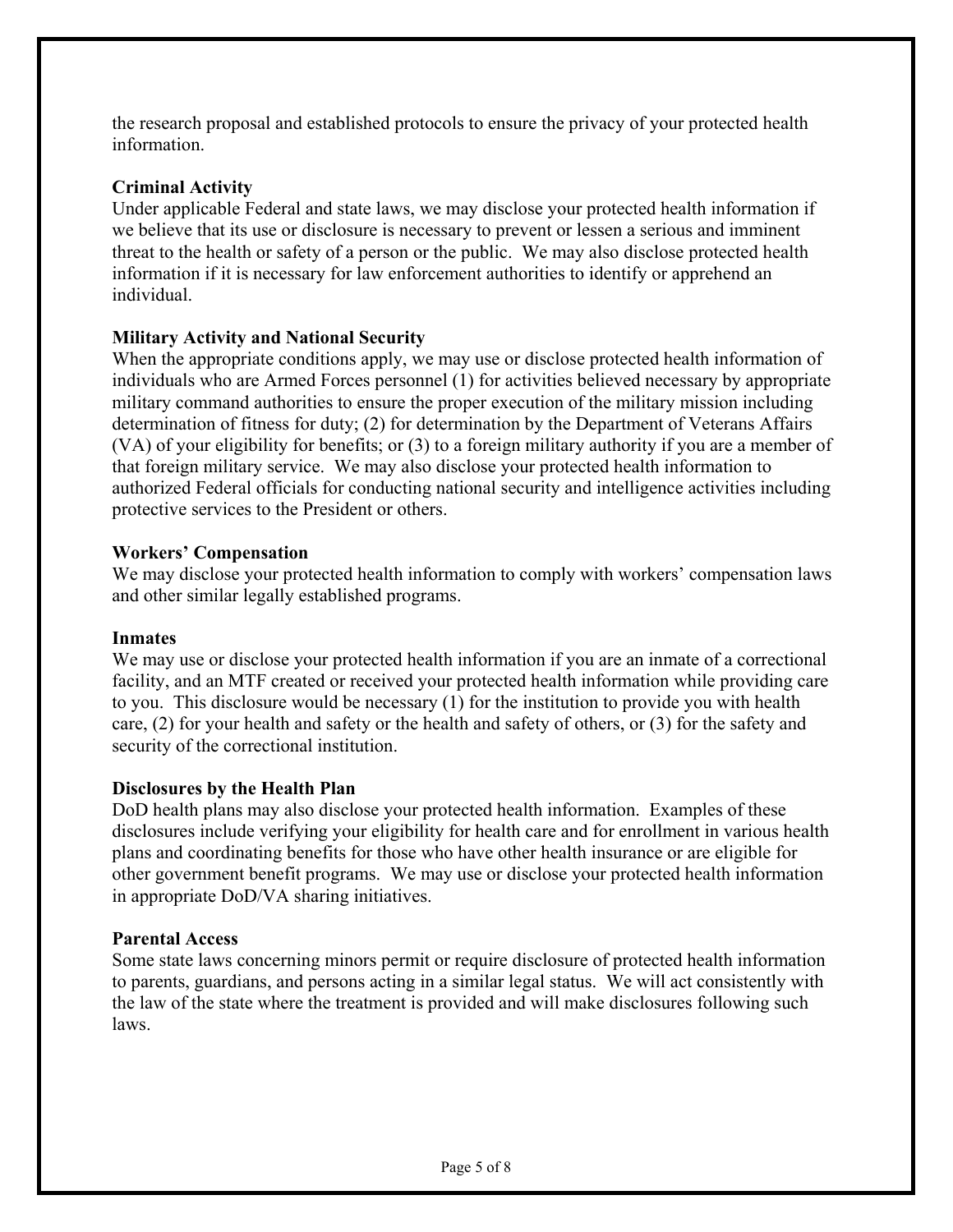the research proposal and established protocols to ensure the privacy of your protected health information.

## **Criminal Activity**

Under applicable Federal and state laws, we may disclose your protected health information if we believe that its use or disclosure is necessary to prevent or lessen a serious and imminent threat to the health or safety of a person or the public. We may also disclose protected health information if it is necessary for law enforcement authorities to identify or apprehend an individual.

## **Military Activity and National Security**

When the appropriate conditions apply, we may use or disclose protected health information of individuals who are Armed Forces personnel (1) for activities believed necessary by appropriate military command authorities to ensure the proper execution of the military mission including determination of fitness for duty; (2) for determination by the Department of Veterans Affairs (VA) of your eligibility for benefits; or (3) to a foreign military authority if you are a member of that foreign military service. We may also disclose your protected health information to authorized Federal officials for conducting national security and intelligence activities including protective services to the President or others.

## **Workers' Compensation**

We may disclose your protected health information to comply with workers' compensation laws and other similar legally established programs.

## **Inmates**

We may use or disclose your protected health information if you are an inmate of a correctional facility, and an MTF created or received your protected health information while providing care to you. This disclosure would be necessary (1) for the institution to provide you with health care, (2) for your health and safety or the health and safety of others, or (3) for the safety and security of the correctional institution.

## **Disclosures by the Health Plan**

DoD health plans may also disclose your protected health information. Examples of these disclosures include verifying your eligibility for health care and for enrollment in various health plans and coordinating benefits for those who have other health insurance or are eligible for other government benefit programs. We may use or disclose your protected health information in appropriate DoD/VA sharing initiatives.

## **Parental Access**

Some state laws concerning minors permit or require disclosure of protected health information to parents, guardians, and persons acting in a similar legal status. We will act consistently with the law of the state where the treatment is provided and will make disclosures following such laws.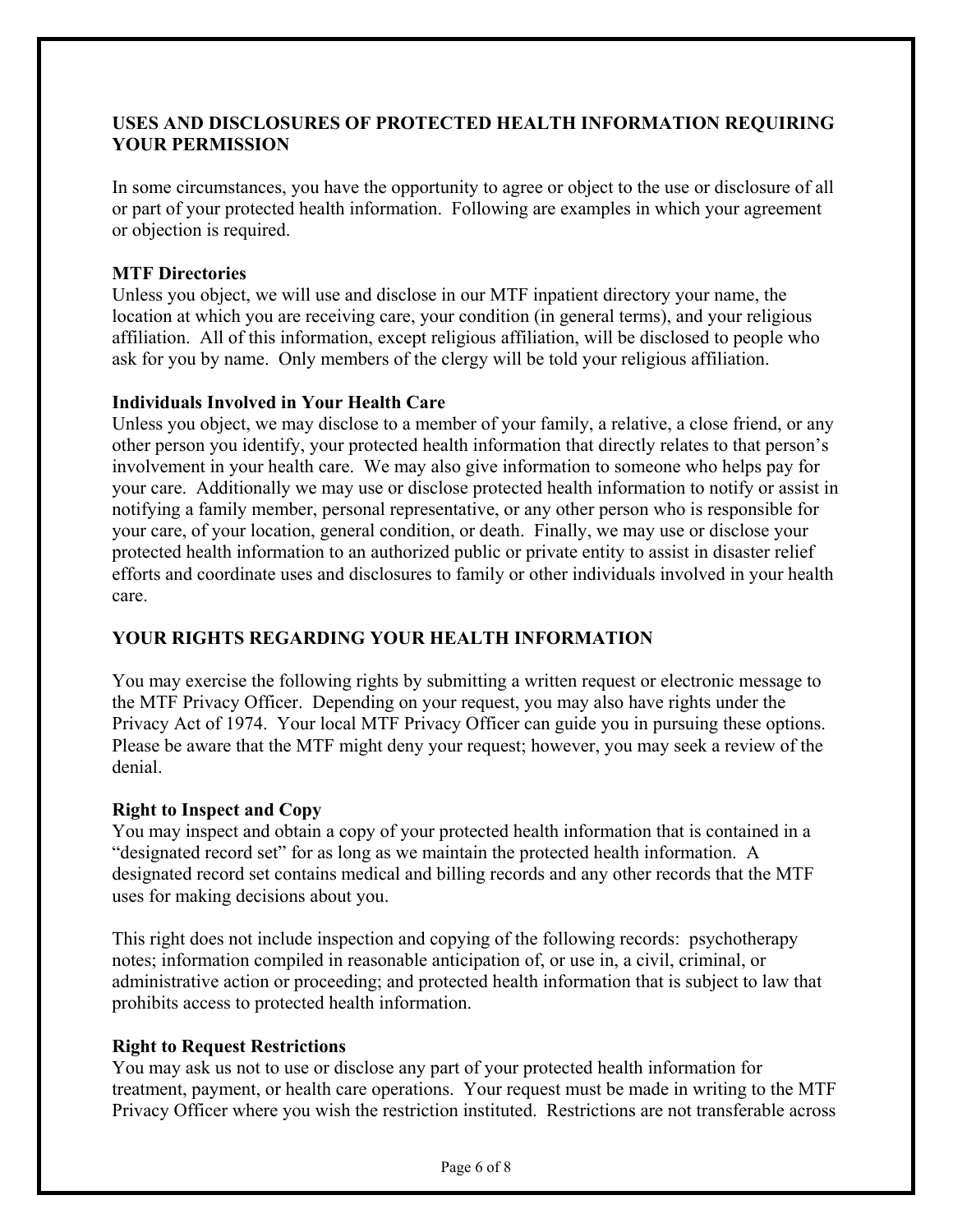## **USES AND DISCLOSURES OF PROTECTED HEALTH INFORMATION REQUIRING YOUR PERMISSION**

In some circumstances, you have the opportunity to agree or object to the use or disclosure of all or part of your protected health information. Following are examples in which your agreement or objection is required.

#### **MTF Directories**

Unless you object, we will use and disclose in our MTF inpatient directory your name, the location at which you are receiving care, your condition (in general terms), and your religious affiliation. All of this information, except religious affiliation, will be disclosed to people who ask for you by name. Only members of the clergy will be told your religious affiliation.

#### **Individuals Involved in Your Health Care**

Unless you object, we may disclose to a member of your family, a relative, a close friend, or any other person you identify, your protected health information that directly relates to that person's involvement in your health care. We may also give information to someone who helps pay for your care. Additionally we may use or disclose protected health information to notify or assist in notifying a family member, personal representative, or any other person who is responsible for your care, of your location, general condition, or death. Finally, we may use or disclose your protected health information to an authorized public or private entity to assist in disaster relief efforts and coordinate uses and disclosures to family or other individuals involved in your health care.

## **YOUR RIGHTS REGARDING YOUR HEALTH INFORMATION**

You may exercise the following rights by submitting a written request or electronic message to the MTF Privacy Officer. Depending on your request, you may also have rights under the Privacy Act of 1974. Your local MTF Privacy Officer can guide you in pursuing these options. Please be aware that the MTF might deny your request; however, you may seek a review of the denial.

## **Right to Inspect and Copy**

You may inspect and obtain a copy of your protected health information that is contained in a "designated record set" for as long as we maintain the protected health information. A designated record set contains medical and billing records and any other records that the MTF uses for making decisions about you.

This right does not include inspection and copying of the following records: psychotherapy notes; information compiled in reasonable anticipation of, or use in, a civil, criminal, or administrative action or proceeding; and protected health information that is subject to law that prohibits access to protected health information.

## **Right to Request Restrictions**

You may ask us not to use or disclose any part of your protected health information for treatment, payment, or health care operations. Your request must be made in writing to the MTF Privacy Officer where you wish the restriction instituted. Restrictions are not transferable across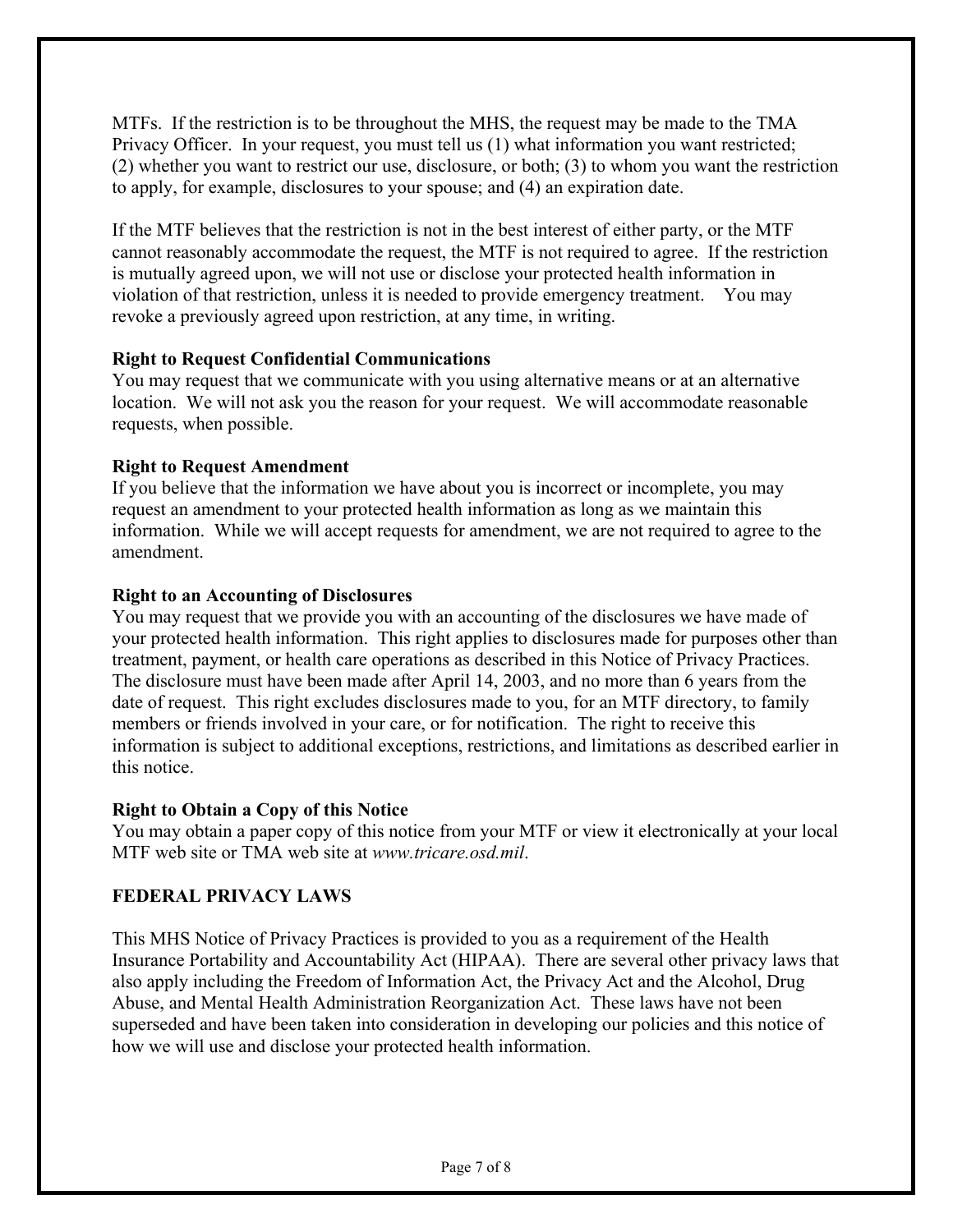MTFs. If the restriction is to be throughout the MHS, the request may be made to the TMA Privacy Officer. In your request, you must tell us (1) what information you want restricted; (2) whether you want to restrict our use, disclosure, or both; (3) to whom you want the restriction to apply, for example, disclosures to your spouse; and (4) an expiration date.

If the MTF believes that the restriction is not in the best interest of either party, or the MTF cannot reasonably accommodate the request, the MTF is not required to agree. If the restriction is mutually agreed upon, we will not use or disclose your protected health information in violation of that restriction, unless it is needed to provide emergency treatment. You may revoke a previously agreed upon restriction, at any time, in writing.

## **Right to Request Confidential Communications**

You may request that we communicate with you using alternative means or at an alternative location. We will not ask you the reason for your request. We will accommodate reasonable requests, when possible.

## **Right to Request Amendment**

If you believe that the information we have about you is incorrect or incomplete, you may request an amendment to your protected health information as long as we maintain this information. While we will accept requests for amendment, we are not required to agree to the amendment.

## **Right to an Accounting of Disclosures**

You may request that we provide you with an accounting of the disclosures we have made of your protected health information. This right applies to disclosures made for purposes other than treatment, payment, or health care operations as described in this Notice of Privacy Practices. The disclosure must have been made after April 14, 2003, and no more than 6 years from the date of request. This right excludes disclosures made to you, for an MTF directory, to family members or friends involved in your care, or for notification. The right to receive this information is subject to additional exceptions, restrictions, and limitations as described earlier in this notice.

## **Right to Obtain a Copy of this Notice**

You may obtain a paper copy of this notice from your MTF or view it electronically at your local MTF web site or TMA web site at *www.tricare.osd.mil*.

## **FEDERAL PRIVACY LAWS**

This MHS Notice of Privacy Practices is provided to you as a requirement of the Health Insurance Portability and Accountability Act (HIPAA). There are several other privacy laws that also apply including the Freedom of Information Act, the Privacy Act and the Alcohol, Drug Abuse, and Mental Health Administration Reorganization Act. These laws have not been superseded and have been taken into consideration in developing our policies and this notice of how we will use and disclose your protected health information.